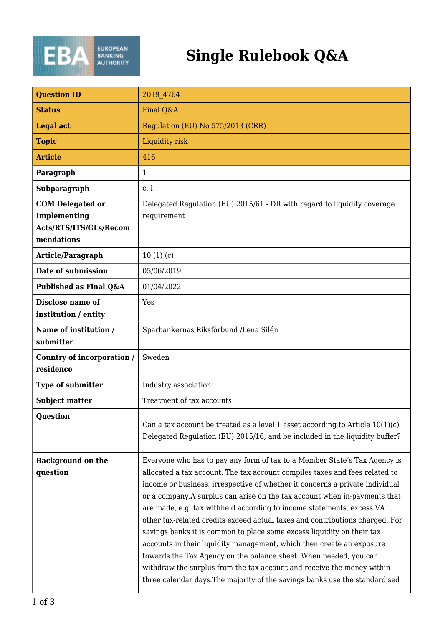

## **Single Rulebook Q&A**

| <b>Ouestion ID</b>                                                              | 2019 4764                                                                                                                                                                                                                                                                                                                                                                                                                                                                                                                                                                                                                                                                                                                                                                                                                                                         |
|---------------------------------------------------------------------------------|-------------------------------------------------------------------------------------------------------------------------------------------------------------------------------------------------------------------------------------------------------------------------------------------------------------------------------------------------------------------------------------------------------------------------------------------------------------------------------------------------------------------------------------------------------------------------------------------------------------------------------------------------------------------------------------------------------------------------------------------------------------------------------------------------------------------------------------------------------------------|
| <b>Status</b>                                                                   | Final Q&A                                                                                                                                                                                                                                                                                                                                                                                                                                                                                                                                                                                                                                                                                                                                                                                                                                                         |
| <b>Legal act</b>                                                                | Regulation (EU) No 575/2013 (CRR)                                                                                                                                                                                                                                                                                                                                                                                                                                                                                                                                                                                                                                                                                                                                                                                                                                 |
| <b>Topic</b>                                                                    | Liquidity risk                                                                                                                                                                                                                                                                                                                                                                                                                                                                                                                                                                                                                                                                                                                                                                                                                                                    |
| <b>Article</b>                                                                  | 416                                                                                                                                                                                                                                                                                                                                                                                                                                                                                                                                                                                                                                                                                                                                                                                                                                                               |
| Paragraph                                                                       | $\mathbf{1}$                                                                                                                                                                                                                                                                                                                                                                                                                                                                                                                                                                                                                                                                                                                                                                                                                                                      |
| Subparagraph                                                                    | c, i                                                                                                                                                                                                                                                                                                                                                                                                                                                                                                                                                                                                                                                                                                                                                                                                                                                              |
| <b>COM Delegated or</b><br>Implementing<br>Acts/RTS/ITS/GLs/Recom<br>mendations | Delegated Regulation (EU) 2015/61 - DR with regard to liquidity coverage<br>requirement                                                                                                                                                                                                                                                                                                                                                                                                                                                                                                                                                                                                                                                                                                                                                                           |
| Article/Paragraph                                                               | 10(1)(c)                                                                                                                                                                                                                                                                                                                                                                                                                                                                                                                                                                                                                                                                                                                                                                                                                                                          |
| Date of submission                                                              | 05/06/2019                                                                                                                                                                                                                                                                                                                                                                                                                                                                                                                                                                                                                                                                                                                                                                                                                                                        |
| Published as Final Q&A                                                          | 01/04/2022                                                                                                                                                                                                                                                                                                                                                                                                                                                                                                                                                                                                                                                                                                                                                                                                                                                        |
| Disclose name of<br>institution / entity                                        | Yes                                                                                                                                                                                                                                                                                                                                                                                                                                                                                                                                                                                                                                                                                                                                                                                                                                                               |
| Name of institution /<br>submitter                                              | Sparbankernas Riksförbund /Lena Silén                                                                                                                                                                                                                                                                                                                                                                                                                                                                                                                                                                                                                                                                                                                                                                                                                             |
| Country of incorporation /<br>residence                                         | Sweden                                                                                                                                                                                                                                                                                                                                                                                                                                                                                                                                                                                                                                                                                                                                                                                                                                                            |
| Type of submitter                                                               | Industry association                                                                                                                                                                                                                                                                                                                                                                                                                                                                                                                                                                                                                                                                                                                                                                                                                                              |
| <b>Subject matter</b>                                                           | Treatment of tax accounts                                                                                                                                                                                                                                                                                                                                                                                                                                                                                                                                                                                                                                                                                                                                                                                                                                         |
| <b>Question</b>                                                                 | Can a tax account be treated as a level 1 asset according to Article $10(1)(c)$<br>Delegated Regulation (EU) 2015/16, and be included in the liquidity buffer?                                                                                                                                                                                                                                                                                                                                                                                                                                                                                                                                                                                                                                                                                                    |
| <b>Background on the</b><br>question                                            | Everyone who has to pay any form of tax to a Member State's Tax Agency is<br>allocated a tax account. The tax account compiles taxes and fees related to<br>income or business, irrespective of whether it concerns a private individual<br>or a company.A surplus can arise on the tax account when in-payments that<br>are made, e.g. tax withheld according to income statements, excess VAT,<br>other tax-related credits exceed actual taxes and contributions charged. For<br>savings banks it is common to place some excess liquidity on their tax<br>accounts in their liquidity management, which then create an exposure<br>towards the Tax Agency on the balance sheet. When needed, you can<br>withdraw the surplus from the tax account and receive the money within<br>three calendar days. The majority of the savings banks use the standardised |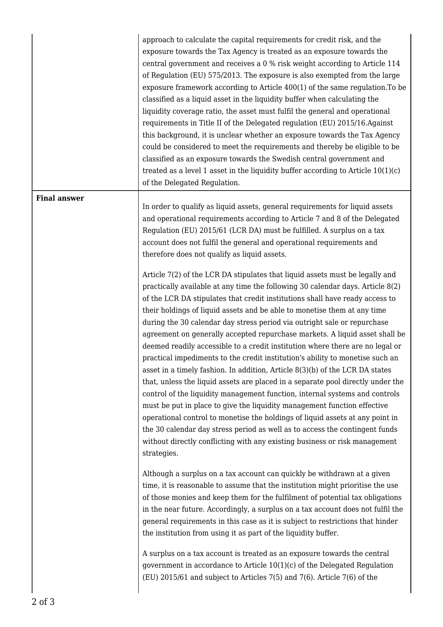approach to calculate the capital requirements for credit risk, and the exposure towards the Tax Agency is treated as an exposure towards the central government and receives a 0 % risk weight according to Article 114 of Regulation (EU) 575/2013. The exposure is also exempted from the large exposure framework according to Article 400(1) of the same regulation.To be classified as a liquid asset in the liquidity buffer when calculating the liquidity coverage ratio, the asset must fulfil the general and operational requirements in Title II of the Delegated regulation (EU) 2015/16.Against this background, it is unclear whether an exposure towards the Tax Agency could be considered to meet the requirements and thereby be eligible to be classified as an exposure towards the Swedish central government and treated as a level 1 asset in the liquidity buffer according to Article 10(1)(c) of the Delegated Regulation.

## **Final answer**

In order to qualify as liquid assets, general requirements for liquid assets and operational requirements according to Article 7 and 8 of the Delegated Regulation (EU) 2015/61 (LCR DA) must be fulfilled. A surplus on a tax account does not fulfil the general and operational requirements and therefore does not qualify as liquid assets.

Article 7(2) of the LCR DA stipulates that liquid assets must be legally and practically available at any time the following 30 calendar days. Article 8(2) of the LCR DA stipulates that credit institutions shall have ready access to their holdings of liquid assets and be able to monetise them at any time during the 30 calendar day stress period via outright sale or repurchase agreement on generally accepted repurchase markets. A liquid asset shall be deemed readily accessible to a credit institution where there are no legal or practical impediments to the credit institution's ability to monetise such an asset in a timely fashion. In addition, Article 8(3)(b) of the LCR DA states that, unless the liquid assets are placed in a separate pool directly under the control of the liquidity management function, internal systems and controls must be put in place to give the liquidity management function effective operational control to monetise the holdings of liquid assets at any point in the 30 calendar day stress period as well as to access the contingent funds without directly conflicting with any existing business or risk management strategies.

Although a surplus on a tax account can quickly be withdrawn at a given time, it is reasonable to assume that the institution might prioritise the use of those monies and keep them for the fulfilment of potential tax obligations in the near future. Accordingly, a surplus on a tax account does not fulfil the general requirements in this case as it is subject to restrictions that hinder the institution from using it as part of the liquidity buffer.

A surplus on a tax account is treated as an exposure towards the central government in accordance to Article 10(1)(c) of the Delegated Regulation (EU) 2015/61 and subject to Articles 7(5) and 7(6). Article 7(6) of the